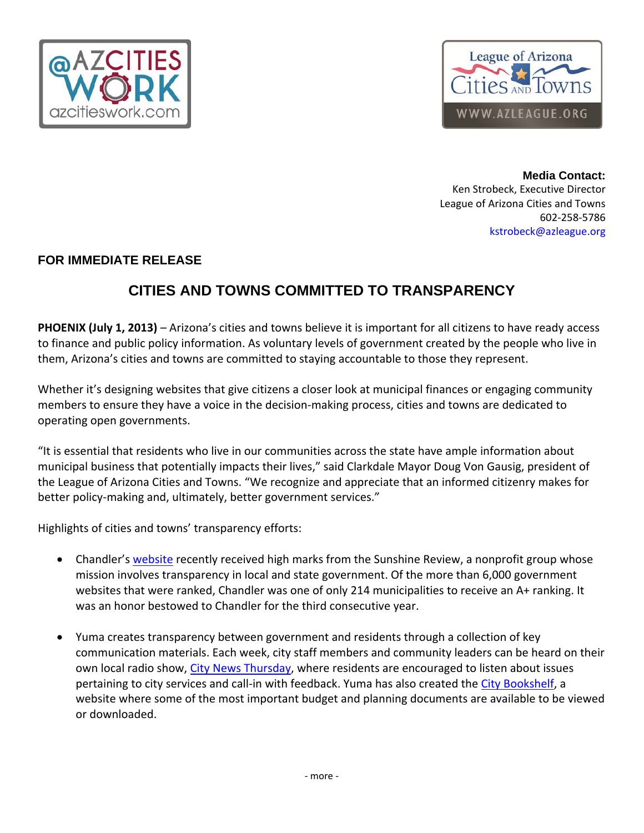



**Media Contact:**  Ken Strobeck, Executive Director League of Arizona Cities and Towns 602‐258‐5786 kstrobeck@azleague.org

## **FOR IMMEDIATE RELEASE**

## **CITIES AND TOWNS COMMITTED TO TRANSPARENCY**

**PHOENIX (July 1, 2013)** – Arizona's cities and towns believe it is important for all citizens to have ready access to finance and public policy information. As voluntary levels of government created by the people who live in them, Arizona's cities and towns are committed to staying accountable to those they represent.

Whether it's designing websites that give citizens a closer look at municipal finances or engaging community members to ensure they have a voice in the decision‐making process, cities and towns are dedicated to operating open governments.

"It is essential that residents who live in our communities across the state have ample information about municipal business that potentially impacts their lives," said Clarkdale Mayor Doug Von Gausig, president of the League of Arizona Cities and Towns. "We recognize and appreciate that an informed citizenry makes for better policy-making and, ultimately, better government services."

Highlights of cities and towns' transparency efforts:

- Chandler's website recently received high marks from the Sunshine Review, a nonprofit group whose mission involves transparency in local and state government. Of the more than 6,000 government websites that were ranked, Chandler was one of only 214 municipalities to receive an A+ ranking. It was an honor bestowed to Chandler for the third consecutive year.
- Yuma creates transparency between government and residents through a collection of key communication materials. Each week, city staff members and community leaders can be heard on their own local radio show, City News Thursday, where residents are encouraged to listen about issues pertaining to city services and call-in with feedback. Yuma has also created the City Bookshelf, a website where some of the most important budget and planning documents are available to be viewed or downloaded.